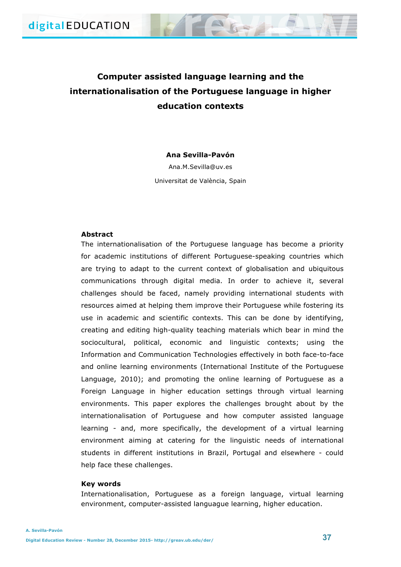# **Computer assisted language learning and the internationalisation of the Portuguese language in higher education contexts**

**Ana Sevilla-Pavón**

Ana.M.Sevilla@uv.es Universitat de València, Spain

## **Abstract**

The internationalisation of the Portuguese language has become a priority for academic institutions of different Portuguese-speaking countries which are trying to adapt to the current context of globalisation and ubiquitous communications through digital media. In order to achieve it, several challenges should be faced, namely providing international students with resources aimed at helping them improve their Portuguese while fostering its use in academic and scientific contexts. This can be done by identifying, creating and editing high-quality teaching materials which bear in mind the sociocultural, political, economic and linguistic contexts; using the Information and Communication Technologies effectively in both face-to-face and online learning environments (International Institute of the Portuguese Language, 2010); and promoting the online learning of Portuguese as a Foreign Language in higher education settings through virtual learning environments. This paper explores the challenges brought about by the internationalisation of Portuguese and how computer assisted language learning - and, more specifically, the development of a virtual learning environment aiming at catering for the linguistic needs of international students in different institutions in Brazil, Portugal and elsewhere - could help face these challenges.

## **Key words**

Internationalisation, Portuguese as a foreign language, virtual learning environment, computer-assisted languague learning, higher education.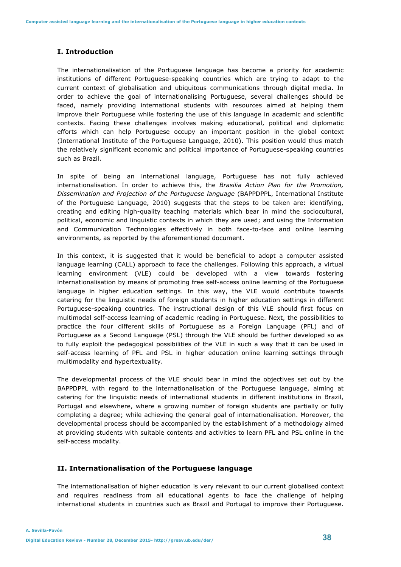# **I. Introduction**

The internationalisation of the Portuguese language has become a priority for academic institutions of different Portuguese-speaking countries which are trying to adapt to the current context of globalisation and ubiquitous communications through digital media. In order to achieve the goal of internationalising Portuguese, several challenges should be faced, namely providing international students with resources aimed at helping them improve their Portuguese while fostering the use of this language in academic and scientific contexts. Facing these challenges involves making educational, political and diplomatic efforts which can help Portuguese occupy an important position in the global context (International Institute of the Portuguese Language, 2010). This position would thus match the relatively significant economic and political importance of Portuguese-speaking countries such as Brazil.

In spite of being an international language, Portuguese has not fully achieved internationalisation. In order to achieve this, the *Brasilia Action Plan for the Promotion, Dissemination and Projection of the Portuguese language* (BAPPDPPL, International Institute of the Portuguese Language, 2010) suggests that the steps to be taken are: identifying, creating and editing high-quality teaching materials which bear in mind the sociocultural, political, economic and linguistic contexts in which they are used; and using the Information and Communication Technologies effectively in both face-to-face and online learning environments, as reported by the aforementioned document.

In this context, it is suggested that it would be beneficial to adopt a computer assisted language learning (CALL) approach to face the challenges. Following this approach, a virtual learning environment (VLE) could be developed with a view towards fostering internationalisation by means of promoting free self-access online learning of the Portuguese language in higher education settings. In this way, the VLE would contribute towards catering for the linguistic needs of foreign students in higher education settings in different Portuguese-speaking countries. The instructional design of this VLE should first focus on multimodal self-access learning of academic reading in Portuguese. Next, the possibilities to practice the four different skills of Portuguese as a Foreign Language (PFL) and of Portuguese as a Second Language (PSL) through the VLE should be further developed so as to fully exploit the pedagogical possibilities of the VLE in such a way that it can be used in self-access learning of PFL and PSL in higher education online learning settings through multimodality and hypertextuality.

The developmental process of the VLE should bear in mind the objectives set out by the BAPPDPPL with regard to the internationalisation of the Portuguese language, aiming at catering for the linguistic needs of international students in different institutions in Brazil, Portugal and elsewhere, where a growing number of foreign students are partially or fully completing a degree; while achieving the general goal of internationalisation. Moreover, the developmental process should be accompanied by the establishment of a methodology aimed at providing students with suitable contents and activities to learn PFL and PSL online in the self-access modality.

#### **II. Internationalisation of the Portuguese language**

The internationalisation of higher education is very relevant to our current globalised context and requires readiness from all educational agents to face the challenge of helping international students in countries such as Brazil and Portugal to improve their Portuguese.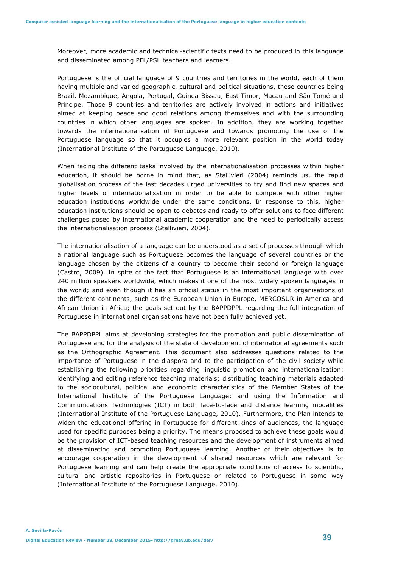Moreover, more academic and technical-scientific texts need to be produced in this language and disseminated among PFL/PSL teachers and learners.

Portuguese is the official language of 9 countries and territories in the world, each of them having multiple and varied geographic, cultural and political situations, these countries being Brazil, Mozambique, Angola, Portugal, Guinea-Bissau, East Timor, Macau and São Tomé and Príncipe. Those 9 countries and territories are actively involved in actions and initiatives aimed at keeping peace and good relations among themselves and with the surrounding countries in which other languages are spoken. In addition, they are working together towards the internationalisation of Portuguese and towards promoting the use of the Portuguese language so that it occupies a more relevant position in the world today (International Institute of the Portuguese Language, 2010).

When facing the different tasks involved by the internationalisation processes within higher education, it should be borne in mind that, as Stallivieri (2004) reminds us, the rapid globalisation process of the last decades urged universities to try and find new spaces and higher levels of internationalisation in order to be able to compete with other higher education institutions worldwide under the same conditions. In response to this, higher education institutions should be open to debates and ready to offer solutions to face different challenges posed by international academic cooperation and the need to periodically assess the internationalisation process (Stallivieri, 2004).

The internationalisation of a language can be understood as a set of processes through which a national language such as Portuguese becomes the language of several countries or the language chosen by the citizens of a country to become their second or foreign language (Castro, 2009). In spite of the fact that Portuguese is an international language with over 240 million speakers worldwide, which makes it one of the most widely spoken languages in the world; and even though it has an official status in the most important organisations of the different continents, such as the European Union in Europe, MERCOSUR in America and African Union in Africa; the goals set out by the BAPPDPPL regarding the full integration of Portuguese in international organisations have not been fully achieved yet.

The BAPPDPPL aims at developing strategies for the promotion and public dissemination of Portuguese and for the analysis of the state of development of international agreements such as the Orthographic Agreement. This document also addresses questions related to the importance of Portuguese in the diaspora and to the participation of the civil society while establishing the following priorities regarding linguistic promotion and internationalisation: identifying and editing reference teaching materials; distributing teaching materials adapted to the sociocultural, political and economic characteristics of the Member States of the International Institute of the Portuguese Language; and using the Information and Communications Technologies (ICT) in both face-to-face and distance learning modalities (International Institute of the Portuguese Language, 2010). Furthermore, the Plan intends to widen the educational offering in Portuguese for different kinds of audiences, the language used for specific purposes being a priority. The means proposed to achieve these goals would be the provision of ICT-based teaching resources and the development of instruments aimed at disseminating and promoting Portuguese learning. Another of their objectives is to encourage cooperation in the development of shared resources which are relevant for Portuguese learning and can help create the appropriate conditions of access to scientific, cultural and artistic repositories in Portuguese or related to Portuguese in some way (International Institute of the Portuguese Language, 2010).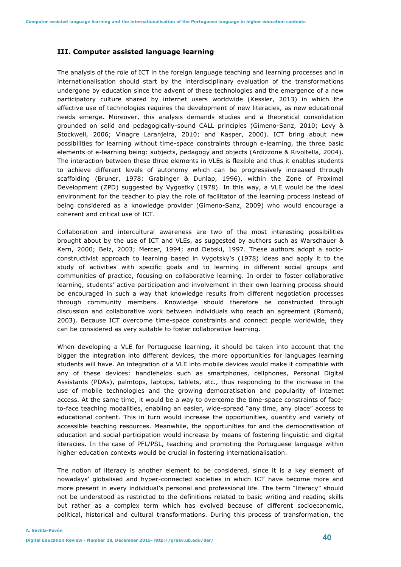#### **III. Computer assisted language learning**

The analysis of the role of ICT in the foreign language teaching and learning processes and in internationalisation should start by the interdisciplinary evaluation of the transformations undergone by education since the advent of these technologies and the emergence of a new participatory culture shared by internet users worldwide (Kessler, 2013) in which the effective use of technologies requires the development of new literacies, as new educational needs emerge. Moreover, this analysis demands studies and a theoretical consolidation grounded on solid and pedagogically-sound CALL principles (Gimeno-Sanz, 2010; Levy & Stockwell, 2006; Vinagre Laranjeira, 2010; and Kasper, 2000). ICT bring about new possibilities for learning without time-space constraints through e-learning, the three basic elements of e-learning being: subjects, pedagogy and objects (Ardizzone & Rivoltella, 2004). The interaction between these three elements in VLEs is flexible and thus it enables students to achieve different levels of autonomy which can be progressively increased through scaffolding (Bruner, 1978; Grabinger & Dunlap, 1996), within the Zone of Proximal Development (ZPD) suggested by Vygostky (1978). In this way, a VLE would be the ideal environment for the teacher to play the role of facilitator of the learning process instead of being considered as a knowledge provider (Gimeno-Sanz, 2009) who would encourage a coherent and critical use of ICT.

Collaboration and intercultural awareness are two of the most interesting possibilities brought about by the use of ICT and VLEs, as suggested by authors such as Warschauer & Kern, 2000; Belz, 2003; Mercer, 1994; and Debski, 1997. These authors adopt a socioconstructivist approach to learning based in Vygotsky's (1978) ideas and apply it to the study of activities with specific goals and to learning in different social groups and communities of practice, focusing on collaborative learning. In order to foster collaborative learning, students' active participation and involvement in their own learning process should be encouraged in such a way that knowledge results from different negotiation processes through community members. Knowledge should therefore be constructed through discussion and collaborative work between individuals who reach an agreement (Romanó, 2003). Because ICT overcome time-space constraints and connect people worldwide, they can be considered as very suitable to foster collaborative learning.

When developing a VLE for Portuguese learning, it should be taken into account that the bigger the integration into different devices, the more opportunities for languages learning students will have. An integration of a VLE into mobile devices would make it compatible with any of these devices: handlehelds such as smartphones, cellphones, Personal Digital Assistants (PDAs), palmtops, laptops, tablets, etc., thus responding to the increase in the use of mobile technologies and the growing democratisation and popularity of internet access. At the same time, it would be a way to overcome the time-space constraints of faceto-face teaching modalities, enabling an easier, wide-spread "any time, any place" access to educational content. This in turn would increase the opportunities, quantity and variety of accessible teaching resources. Meanwhile, the opportunities for and the democratisation of education and social participation would increase by means of fostering linguistic and digital literacies. In the case of PFL/PSL, teaching and promoting the Portuguese language within higher education contexts would be crucial in fostering internationalisation.

The notion of literacy is another element to be considered, since it is a key element of nowadays' globalised and hyper-connected societies in which ICT have become more and more present in every individual's personal and professional life. The term "literacy" should not be understood as restricted to the definitions related to basic writing and reading skills but rather as a complex term which has evolved because of different socioeconomic, political, historical and cultural transformations. During this process of transformation, the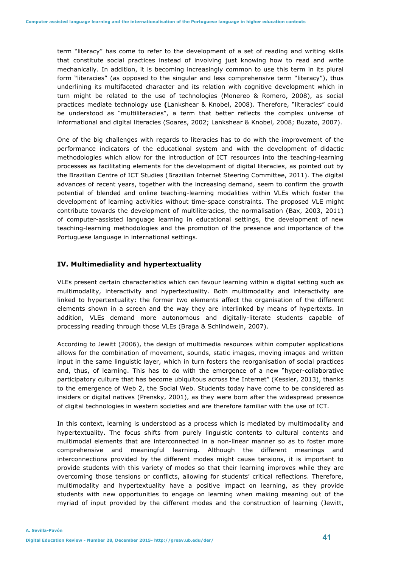term "literacy" has come to refer to the development of a set of reading and writing skills that constitute social practices instead of involving just knowing how to read and write mechanically. In addition, it is becoming increasingly common to use this term in its plural form "literacies" (as opposed to the singular and less comprehensive term "literacy"), thus underlining its multifaceted character and its relation with cognitive development which in turn might be related to the use of technologies (Monereo & Romero, 2008), as social practices mediate technology use **(**Lankshear & Knobel, 2008). Therefore, "literacies" could be understood as "multiliteracies", a term that better reflects the complex universe of informational and digital literacies (Soares, 2002; Lankshear & Knobel, 2008; Buzato, 2007).

One of the big challenges with regards to literacies has to do with the improvement of the performance indicators of the educational system and with the development of didactic methodologies which allow for the introduction of ICT resources into the teaching-learning processes as facilitating elements for the development of digital literacies, as pointed out by the Brazilian Centre of ICT Studies (Brazilian Internet Steering Committee, 2011). The digital advances of recent years, together with the increasing demand, seem to confirm the growth potential of blended and online teaching-learning modalities within VLEs which foster the development of learning activities without time-space constraints. The proposed VLE might contribute towards the development of multiliteracies, the normalisation (Bax, 2003, 2011) of computer-assisted language learning in educational settings, the development of new teaching-learning methodologies and the promotion of the presence and importance of the Portuguese language in international settings.

#### **IV. Multimediality and hypertextuality**

VLEs present certain characteristics which can favour learning within a digital setting such as multimodality, interactivity and hypertextuality. Both multimodality and interactivity are linked to hypertextuality: the former two elements affect the organisation of the different elements shown in a screen and the way they are interlinked by means of hypertexts. In addition, VLEs demand more autonomous and digitally-literate students capable of processing reading through those VLEs (Braga & Schlindwein, 2007).

According to Jewitt (2006), the design of multimedia resources within computer applications allows for the combination of movement, sounds, static images, moving images and written input in the same linguistic layer, which in turn fosters the reorganisation of social practices and, thus, of learning. This has to do with the emergence of a new "hyper-collaborative participatory culture that has become ubiquitous across the Internet" (Kessler, 2013), thanks to the emergence of Web 2, the Social Web. Students today have come to be considered as insiders or digital natives (Prensky, 2001), as they were born after the widespread presence of digital technologies in western societies and are therefore familiar with the use of ICT.

In this context, learning is understood as a process which is mediated by multimodality and hypertextuality. The focus shifts from purely linguistic contents to cultural contents and multimodal elements that are interconnected in a non-linear manner so as to foster more comprehensive and meaningful learning. Although the different meanings and interconnections provided by the different modes might cause tensions, it is important to provide students with this variety of modes so that their learning improves while they are overcoming those tensions or conflicts, allowing for students' critical reflections. Therefore, multimodality and hypertextuality have a positive impact on learning, as they provide students with new opportunities to engage on learning when making meaning out of the myriad of input provided by the different modes and the construction of learning (Jewitt,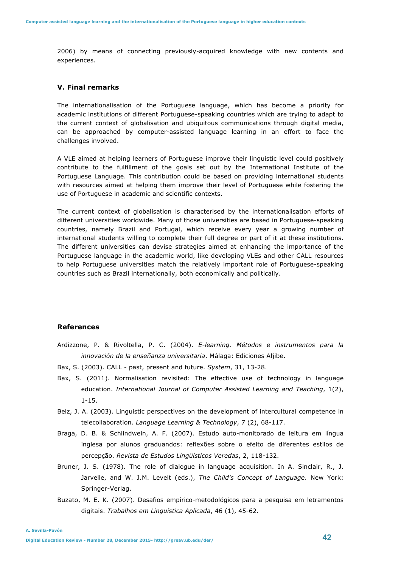2006) by means of connecting previously-acquired knowledge with new contents and experiences.

## **V. Final remarks**

The internationalisation of the Portuguese language, which has become a priority for academic institutions of different Portuguese-speaking countries which are trying to adapt to the current context of globalisation and ubiquitous communications through digital media, can be approached by computer-assisted language learning in an effort to face the challenges involved.

A VLE aimed at helping learners of Portuguese improve their linguistic level could positively contribute to the fulfillment of the goals set out by the International Institute of the Portuguese Language. This contribution could be based on providing international students with resources aimed at helping them improve their level of Portuguese while fostering the use of Portuguese in academic and scientific contexts.

The current context of globalisation is characterised by the internationalisation efforts of different universities worldwide. Many of those universities are based in Portuguese-speaking countries, namely Brazil and Portugal, which receive every year a growing number of international students willing to complete their full degree or part of it at these institutions. The different universities can devise strategies aimed at enhancing the importance of the Portuguese language in the academic world, like developing VLEs and other CALL resources to help Portuguese universities match the relatively important role of Portuguese-speaking countries such as Brazil internationally, both economically and politically.

## **References**

- Ardizzone, P. & Rivoltella, P. C. (2004). *E-learning. Métodos e instrumentos para la innovación de la enseñanza universitaria*. Málaga: Ediciones Aljibe.
- Bax, S. (2003). CALL past, present and future. *System*, 31, 13-28.
- Bax, S. (2011). Normalisation revisited: The effective use of technology in language education. *International Journal of Computer Assisted Learning and Teaching*, 1(2), 1-15.
- Belz, J. A. (2003). Linguistic perspectives on the development of intercultural competence in telecollaboration. *Language Learning & Technology*, 7 (2), 68-117.
- Braga, D. B. & Schlindwein, A. F. (2007). Estudo auto-monitorado de leitura em língua inglesa por alunos graduandos: reflexões sobre o efeito de diferentes estilos de percepção. *Revista de Estudos Lingüísticos Veredas*, 2, 118-132.
- Bruner, J. S. (1978). The role of dialogue in language acquisition. In A. Sinclair, R., J. Jarvelle, and W. J.M. Levelt (eds.), *The Child's Concept of Language*. New York: Springer-Verlag.
- Buzato, M. E. K. (2007). Desafios empírico-metodológicos para a pesquisa em letramentos digitais. *Trabalhos em Linguística Aplicada*, 46 (1), 45-62.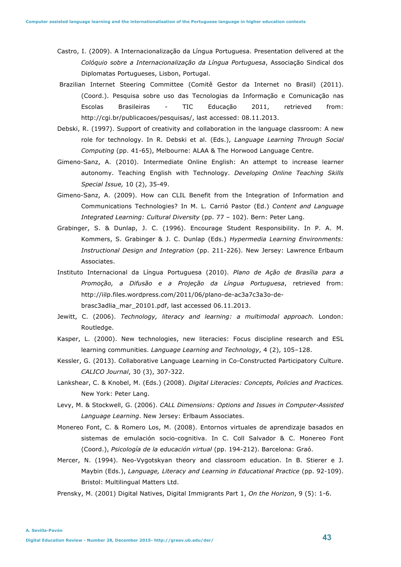- Castro, I. (2009). A Internacionalização da Língua Portuguesa. Presentation delivered at the *Colóquio sobre a Internacionalização da Língua Portuguesa*, Associação Sindical dos Diplomatas Portugueses, Lisbon, Portugal.
- Brazilian Internet Steering Committee (Comitê Gestor da Internet no Brasil) (2011). (Coord.). Pesquisa sobre uso das Tecnologias da Informação e Comunicação nas Escolas Brasileiras - TIC Educação 2011, retrieved from: http://cgi.br/publicacoes/pesquisas/, last accessed: 08.11.2013.
- Debski, R. (1997). Support of creativity and collaboration in the language classroom: A new role for technology. In R. Debski et al. (Eds.), *Language Learning Through Social Computing* (pp. 41-65), Melbourne: ALAA & The Horwood Language Centre.
- Gimeno-Sanz, A. (2010). Intermediate Online English: An attempt to increase learner autonomy. Teaching English with Technology. *Developing Online Teaching Skills Special Issue,* 10 (2), 35-49.
- Gimeno-Sanz, A. (2009). How can CLIL Benefit from the Integration of Information and Communications Technologies? In M. L. Carrió Pastor (Ed.) *Content and Language Integrated Learning: Cultural Diversity* (pp. 77 – 102). Bern: Peter Lang.
- Grabinger, S. & Dunlap, J. C. (1996). Encourage Student Responsibility. In P. A. M. Kommers, S. Grabinger & J. C. Dunlap (Eds.) *Hypermedia Learning Environments: Instructional Design and Integration* (pp. 211-226). New Jersey: Lawrence Erlbaum Associates.
- Instituto Internacional da Língua Portuguesa (2010). *Plano de Ação de Brasília para a Promoção, a Difusão e a Projeção da Língua Portuguesa*, retrieved from: http://iilp.files.wordpress.com/2011/06/plano-de-ac3a7c3a3o-debrasc3adlia\_mar\_20101.pdf, last accessed 06.11.2013.
- Jewitt, C. (2006). *Technology, literacy and learning: a multimodal approach.* London: Routledge.
- Kasper, L. (2000). New technologies, new literacies: Focus discipline research and ESL learning communities. *Language Learning and Technology*, 4 (2), 105–128.
- Kessler, G. (2013). Collaborative Language Learning in Co-Constructed Participatory Culture. *CALICO Journal*, 30 (3), 307-322.
- Lankshear, C. & Knobel, M. (Eds.) (2008). *Digital Literacies: Concepts, Policies and Practices.* New York: Peter Lang.
- Levy, M. & Stockwell, G. (2006). *CALL Dimensions: Options and Issues in Computer-Assisted Language Learning*. New Jersey: Erlbaum Associates.
- Monereo Font, C. & Romero Los, M. (2008). Entornos virtuales de aprendizaje basados en sistemas de emulación socio-cognitiva. In C. Coll Salvador & C. Monereo Font (Coord.), *Psicología de la educación virtual* (pp. 194-212). Barcelona: Graó.
- Mercer, N. (1994). Neo-Vygotskyan theory and classroom education. In B. Stierer e J. Maybin (Eds.), *Language, Literacy and Learning in Educational Practice* (pp. 92-109). Bristol: Multilingual Matters Ltd.
- Prensky, M. (2001) Digital Natives, Digital Immigrants Part 1, *On the Horizon*, 9 (5): 1-6.